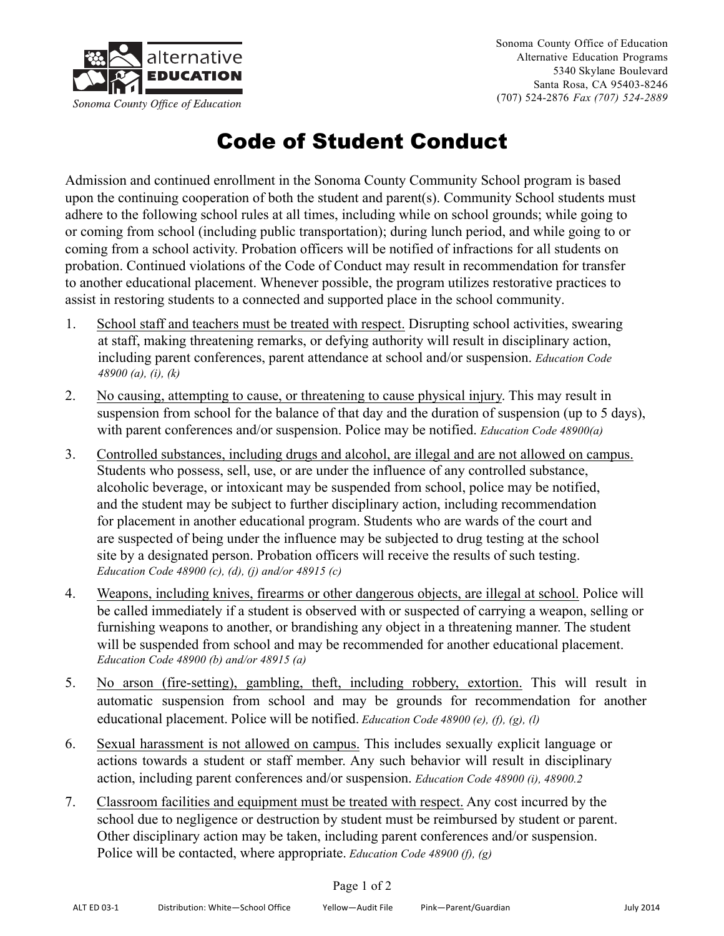

Sonoma County Office of Education Alternative Education Programs 5340 Skylane Boulevard Santa Rosa, CA 95403-8246 (707) 524-2876 *Fax (707) 524-2889*

## Code of Student Conduct

Admission and continued enrollment in the Sonoma County Community School program is based upon the continuing cooperation of both the student and parent(s). Community School students must adhere to the following school rules at all times, including while on school grounds; while going to or coming from school (including public transportation); during lunch period, and while going to or coming from a school activity. Probation officers will be notified of infractions for all students on probation. Continued violations of the Code of Conduct may result in recommendation for transfer to another educational placement. Whenever possible, the program utilizes restorative practices to assist in restoring students to a connected and supported place in the school community.

- 1. School staff and teachers must be treated with respect. Disrupting school activities, swearing at staff, making threatening remarks, or defying authority will result in disciplinary action, including parent conferences, parent attendance at school and/or suspension. *Education Code 48900 (a), (i), (k)*
- 2. No causing, attempting to cause, or threatening to cause physical injury. This may result in suspension from school for the balance of that day and the duration of suspension (up to 5 days), with parent conferences and/or suspension. Police may be notified. *Education Code 48900(a)*
- 3. Controlled substances, including drugs and alcohol, are illegal and are not allowed on campus. Students who possess, sell, use, or are under the influence of any controlled substance, alcoholic beverage, or intoxicant may be suspended from school, police may be notified, and the student may be subject to further disciplinary action, including recommendation for placement in another educational program. Students who are wards of the court and are suspected of being under the influence may be subjected to drug testing at the school site by a designated person. Probation officers will receive the results of such testing. *Education Code 48900 (c), (d), (j) and/or 48915 (c)*
- 4. Weapons, including knives, firearms or other dangerous objects, are illegal at school. Police will be called immediately if a student is observed with or suspected of carrying a weapon, selling or furnishing weapons to another, or brandishing any object in a threatening manner. The student will be suspended from school and may be recommended for another educational placement. *Education Code 48900 (b) and/or 48915 (a)*
- 5. No arson (fire-setting), gambling, theft, including robbery, extortion. This will result in automatic suspension from school and may be grounds for recommendation for another educational placement. Police will be notified. *Education Code 48900 (e), (f), (g), (l)*
- 6. Sexual harassment is not allowed on campus. This includes sexually explicit language or actions towards a student or staff member. Any such behavior will result in disciplinary action, including parent conferences and/or suspension. *Education Code 48900 (i), 48900.2*
- 7. Classroom facilities and equipment must be treated with respect. Any cost incurred by the school due to negligence or destruction by student must be reimbursed by student or parent. Other disciplinary action may be taken, including parent conferences and/or suspension. Police will be contacted, where appropriate. *Education Code 48900 (f), (g)*

## Page 1 of 2